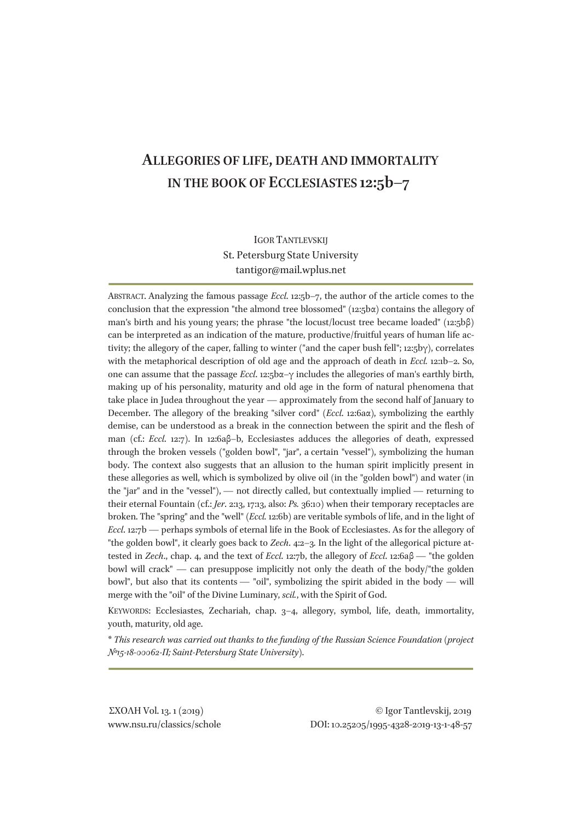# **ALLEGORIES OF LIFE, DEATH AND IMMORTALITY IN THE BOOK OF ECCLESIASTES 12:5b–7**

## IGOR TANTLEVSKIJ St. Petersburg State University tantigor@mail.wplus.net

ABSTRACT. Analyzing the famous passage *Eccl*. 12:5b–7, the author of the article comes to the conclusion that the expression "the almond tree blossomed" (12:5b $\alpha$ ) contains the allegory of man's birth and his young years; the phrase "the locust/locust tree became loaded" (12:5bβ) can be interpreted as an indication of the mature, productive/fruitful years of human life activity; the allegory of the caper, falling to winter ("and the caper bush fell"; 12:5bγ), correlates with the metaphorical description of old age and the approach of death in *Eccl.* 12:1b–2. So, one can assume that the passage *Eccl*. 12:5bα–γ includes the allegories of man's earthly birth, making up of his personality, maturity and old age in the form of natural phenomena that take place in Judea throughout the year — approximately from the second half of January to December. The allegory of the breaking "silver cord" (*Eccl*. 12:6aα), symbolizing the earthly demise, can be understood as a break in the connection between the spirit and the flesh of man (cf.: *Eccl*. 12:7). In 12:6аβ–b, Ecclesiastes adduces the allegories of death, expressed through the broken vessels ("golden bowl", "jar", a certain "vessel"), symbolizing the human body. The context also suggests that an allusion to the human spirit implicitly present in these allegories as well, which is symbolized by olive oil (in the "golden bowl") and water (in the "jar" and in the "vessel"), — not directly called, but contextually implied — returning to their eternal Fountain (cf.: *Jer*. 2:13, 17:13, also: *Ps.* 36:10) when their temporary receptacles are broken. The "spring" and the "well" (*Eccl.* 12:6b) are veritable symbols of life, and in the light of *Eccl*. 12:7b — perhaps symbols of eternal life in the Book of Ecclesiastes. As for the allegory of "the golden bowl", it clearly goes back to *Zech*. 4:2–3. In the light of the allegorical picture attested in *Zech*., chap. 4, and the text of *Eccl*. 12:7b, the allegory of *Eccl*. 12:6aβ — "the golden bowl will crack" — can presuppose implicitly not only the death of the body/"the golden bowl", but also that its contents — "oil", symbolizing the spirit abided in the body — will merge with the "oil" of the Divine Luminary, *scil.*, with the Spirit of God.

KEYWORDS: Ecclesiastes, Zechariah, chap. 3–4, allegory, symbol, life, death, immortality, youth, maturity, old age.

\* *This research was carried out thanks to the funding of the Russian Science Foundation (project №15-18-00062-П; Saint-Petersburg State University)*.

ΣΧΟΛΗ Vol. 13. 1 (2019) © Igor Tantlevskij, 2019 www.nsu.ru/classics/schole DOI: 10.25205/1995-4328-2019-13-1-48-57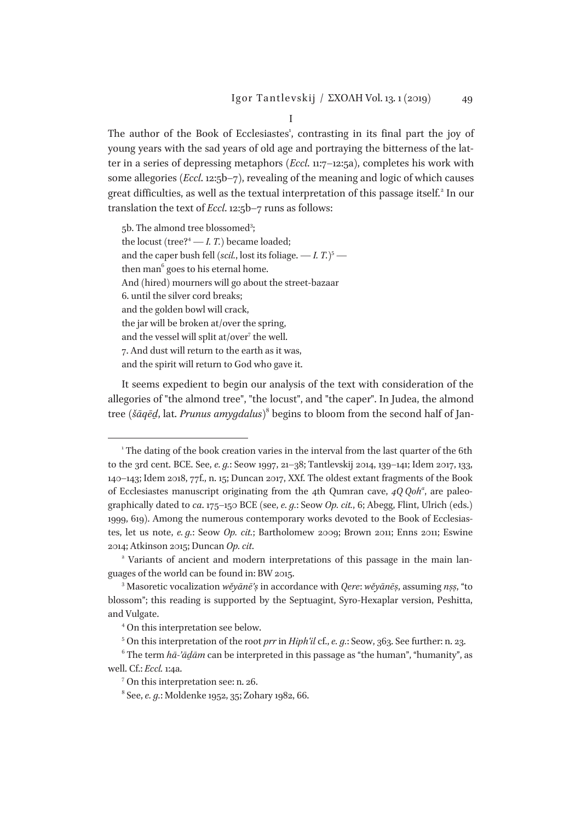I

The author of the Book of Ecclesiastes<sup>1</sup>, contrasting in its final part the joy of young years with the sad years of old age and portraying the bitterness of the latter in a series of depressing metaphors (*Eccl*. 11:7–12:5а), completes his work with some allegories (*Eccl*. 12:5b–7), revealing of the meaning and logic of which causes great difficulties, as well as the textual interpretation of this passage itself.<sup>2</sup> In our translation the text of *Eccl*. 12:5b–7 runs as follows:

5b. The almond tree blossomed<sup>3</sup>; the locust (tree? $^4 - I$ . T.) became loaded; and the caper bush fell (*scil.*, lost its foliage.  $-I. T$ .)<sup>5</sup> then man<sup>6</sup> goes to his eternal home. And (hired) mourners will go about the street-bazaar 6. until the silver cord breaks; and the golden bowl will crack, the jar will be broken at/over the spring, and the vessel will split at/over<sup>7</sup> the well. 7. And dust will return to the earth as it was, and the spirit will return to God who gave it.

It seems expedient to begin our analysis of the text with consideration of the allegories of "the almond tree", "the locust", and "the caper". In Judea, the almond tree (*šāqēḏ*, lat. *Prunus amygdalus*) 8 begins to bloom from the second half of Jan-

-

<sup>&</sup>lt;sup>1</sup> The dating of the book creation varies in the interval from the last quarter of the 6th to the 3rd cent. BCE. See, *e. g.*: Seow 1997, 21–38; Tantlevskij 2014, 139–141; Idem 2017, 133, 140–143; Idem 2018, 77f., n. 15; Duncan 2017, XXf. The oldest extant fragments of the Book of Ecclesiastes manuscript originating from the 4th Qumran cave, *4Q Qoh<sup>a</sup>* , are paleographically dated to *ca*. 175–150 BCE (see, *e. g.*: Seow *Op. cit.*, 6; Abegg, Flint, Ulrich (eds.) 1999, 619). Among the numerous contemporary works devoted to the Book of Ecclesiastes, let us note, *e. g.*: Seow *Op. cit.*; Bartholomew 2009; Brown 2011; Enns 2011; Eswine 2014; Atkinson 2015; Duncan *Op. cit*.

<sup>&</sup>lt;sup>2</sup> Variants of ancient and modern interpretations of this passage in the main languages of the world can be found in: BW 2015.

<sup>3</sup> Masoretic vocalization *wĕyānē'ṣ* in accordance with *Qere*: *wĕyānēṣ*, assuming *nṣṣ*, "to blossom"; this reading is supported by the Septuagint, Syro-Hexaplar version, Peshitta, and Vulgate.

<sup>4</sup> On this interpretation see below.

<sup>5</sup> On this interpretation of the root *prr* in *Hiphʽil* cf., *e. g.*: Seow, 363. See further: n. 23.

<sup>6</sup> The term *hā-'āḏām* can be interpreted in this passage as "the human", "humanity", as well. Cf.: *Eccl.* 1:4a.

<sup>7</sup> On this interpretation see: n. 26.

<sup>8</sup> See, *e. g.*: Moldenke 1952, 35; Zohary 1982, 66.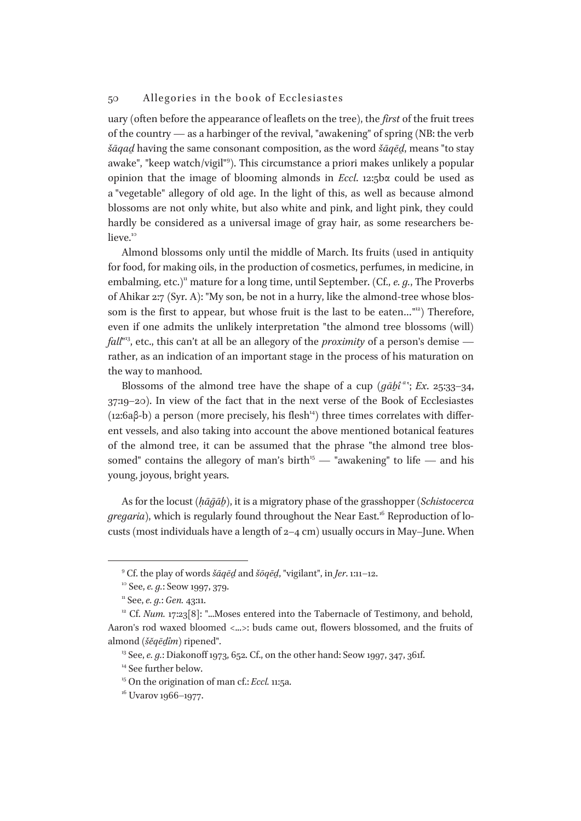uary (often before the appearance of leaflets on the tree), the *first* of the fruit trees of the country — as a harbinger of the revival, "awakening" of spring (NB: the verb *šāqaḏ* having the same consonant composition, as the word *šāqēḏ*, means "to stay awake", "keep watch/vigil"<sup>9</sup> ). This circumstance a priori makes unlikely a popular opinion that the image of blooming almonds in *Eccl*. 12:5bα could be used as a "vegetable" allegory of old age. In the light of this, as well as because almond blossoms are not only white, but also white and pink, and light pink, they could hardly be considered as a universal image of gray hair, as some researchers believe.<sup>10</sup>

Almond blossoms only until the middle of March. Its fruits (used in antiquity for food, for making oils, in the production of cosmetics, perfumes, in medicine, in embalming, etc.)<sup>11</sup> mature for a long time, until September. (Cf., *e. g.*, The Proverbs of Ahikar 2:7 (Syr. A): "My son, be not in a hurry, like the almond-tree whose blossom is the first to appear, but whose fruit is the last to be eaten..."<sup>12</sup>) Therefore, even if one admits the unlikely interpretation "the almond tree blossoms (will) *fall*" <sup>13</sup>, etc., this can't at all be an allegory of the *proximity* of a person's demise rather, as an indication of an important stage in the process of his maturation on the way to manhood.

Blossoms of the almond tree have the shape of a cup  $(g\bar{a}b\hat{i}^a; Ex. 25:33-34$ , 37:19–20). In view of the fact that in the next verse of the Book of Ecclesiastes (12:6a $\beta$ -b) a person (more precisely, his flesh<sup>14</sup>) three times correlates with different vessels, and also taking into account the above mentioned botanical features of the almond tree, it can be assumed that the phrase "the almond tree blossomed" contains the allegory of man's birth<sup>15</sup> — "awakening" to life — and his young, joyous, bright years.

As for the locust (*ḥāḡāḇ*), it is a migratory phase of the grasshopper (*Schistocerca gregaria*), which is regularly found throughout the Near East.<sup>16</sup> Reproduction of locusts (most individuals have a length of 2–4 cm) usually occurs in May–June. When

<sup>9</sup> Cf. the play of words *šāqēḏ* and *šōqēḏ*, "vigilant", in *Jer*. 1:11–12.

<sup>10</sup> See, *e. g.*: Seow 1997, 379.

<sup>11</sup> See, *e. g.*: *Gen.* 43:11.

 $12$  Cf. *Num.* 17:23[8]: "...Moses entered into the Tabernacle of Testimony, and behold, Aaron's rod waxed bloomed <...>: buds came out, flowers blossomed, and the fruits of almond (*šĕqēḏîm*) ripened".

<sup>&</sup>lt;sup>13</sup> See, *e. g.*: Diakonoff 1973, 652. Cf., on the other hand: Seow 1997, 347, 361f.

<sup>&</sup>lt;sup>14</sup> See further below.

<sup>15</sup> On the origination of man cf.: *Eccl.* 11:5a.

<sup>&</sup>lt;sup>16</sup> Uvarov 1966–1977.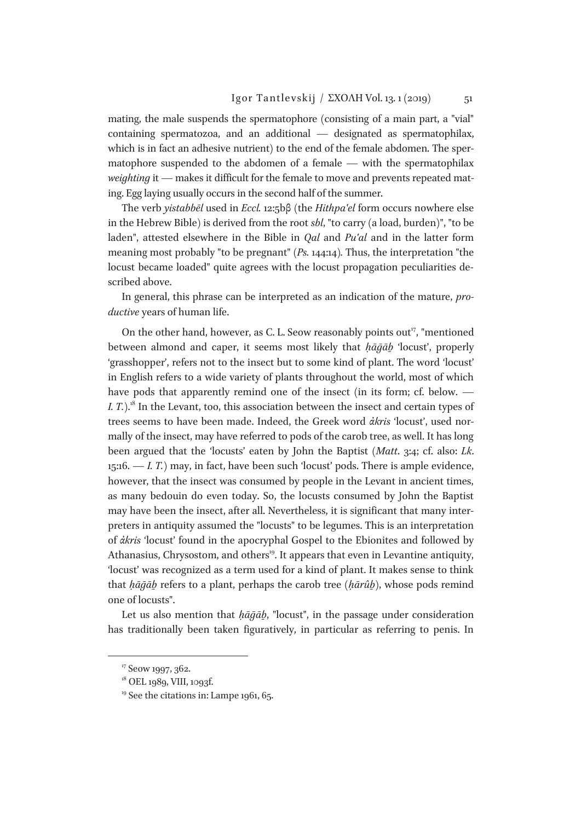mating, the male suspends the spermatophore (consisting of a main part, a "vial" containing spermatozoa, and an additional — designated as spermatophilax, which is in fact an adhesive nutrient) to the end of the female abdomen. The spermatophore suspended to the abdomen of a female — with the spermatophilax *weighting* it — makes it difficult for the female to move and prevents repeated mating. Egg laying usually occurs in the second half of the summer.

The verb *yistabbēl* used in *Eccl.* 12:5bβ (the *Hithpaʽel* form occurs nowhere else in the Hebrew Bible) is derived from the root *sbl*, "to carry (a load, burden)", "to be laden", attested elsewhere in the Bible in *Qal* and *Puʽal* and in the latter form meaning most probably "to be pregnant" (*Ps.* 144:14)*.* Thus, the interpretation "the locust became loaded" quite agrees with the locust propagation peculiarities described above.

In general, this phrase can be interpreted as an indication of the mature, *productive* years of human life.

On the other hand, however, as C. L. Seow reasonably points out<sup>17</sup>, "mentioned between almond and caper, it seems most likely that *ḥāḡāḇ* 'locust', properly 'grasshopper', refers not to the insect but to some kind of plant. The word 'locust' in English refers to a wide variety of plants throughout the world, most of which have pods that apparently remind one of the insect (in its form; cf. below. — *I. T.*).<sup>18</sup> In the Levant, too, this association between the insect and certain types of trees seems to have been made. Indeed, the Greek word *ἀkris* 'locust', used normally of the insect, may have referred to pods of the carob tree, as well. It has long been argued that the 'locusts' eaten by John the Baptist (*Matt*. 3:4; cf. also: *Lk*. 15:16. — *I. T.*) may, in fact, have been such 'locust' pods. There is ample evidence, however, that the insect was consumed by people in the Levant in ancient times, as many bedouin do even today. So, the locusts consumed by John the Baptist may have been the insect, after all. Nevertheless, it is significant that many interpreters in antiquity assumed the "locusts" to be legumes. This is an interpretation of *ἀkris* 'locust' found in the apocryphal Gospel to the Ebionites and followed by Athanasius, Chrysostom, and others<sup>19</sup>. It appears that even in Levantine antiquity, 'locust' was recognized as a term used for a kind of plant. It makes sense to think that *ḥāḡāḇ* refers to a plant, perhaps the carob tree (*ḥārûḇ*), whose pods remind one of locusts".

Let us also mention that *ḥāḡāḇ*, "locust", in the passage under consideration has traditionally been taken figuratively, in particular as referring to penis. In

<sup>&</sup>lt;sup>17</sup> Seow 1997, 362.

 $18$  OEL 1989, VIII, 1093f.

 $19$  See the citations in: Lampe 1961, 65.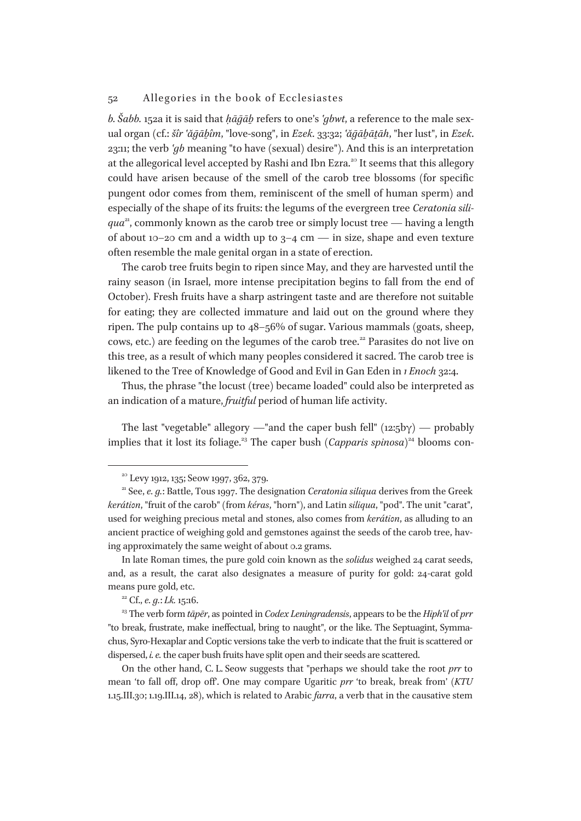*b. Šabb.* 152a it is said that *ḥāḡāḇ* refers to one's *ʽgbwt*, a reference to the male sexual organ (cf.: *šîr ʽăḡāḇîm*, "love-song", in *Ezek*. 33:32; *ʽăḡāḇāṯāh*, "her lust", in *Ezek*. 23:11; the verb *ʽgb* meaning "to have (sexual) desire"). And this is an interpretation at the allegorical level accepted by Rashi and Ibn Ezra.<sup>20</sup> It seems that this allegory could have arisen because of the smell of the carob tree blossoms (for specific pungent odor comes from them, reminiscent of the smell of human sperm) and especially of the shape of its fruits: the legums of the evergreen tree *Ceratonia siliqua* <sup>21</sup>, commonly known as the carob tree or simply locust tree — having a length of about 10–20 cm and a width up to  $3-4$  cm — in size, shape and even texture often resemble the male genital organ in a state of erection.

The carob tree fruits begin to ripen since May, and they are harvested until the rainy season (in Israel, more intense precipitation begins to fall from the end of October). Fresh fruits have a sharp astringent taste and are therefore not suitable for eating; they are collected immature and laid out on the ground where they ripen. The pulp contains up to 48–56% of sugar. Various mammals (goats, sheep, cows, etc.) are feeding on the legumes of the carob tree.<sup>22</sup> Parasites do not live on this tree, as a result of which many peoples considered it sacred. The carob tree is likened to the Tree of Knowledge of Good and Evil in Gan Eden in *1 Enoch* 32:4.

Thus, the phrase "the locust (tree) became loaded" could also be interpreted as an indication of a mature, *fruitful* period of human life activity.

The last "vegetable" allegory —"and the caper bush fell"  $(12:5b\gamma)$  — probably implies that it lost its foliage.<sup>23</sup> The caper bush (*Capparis spinosa*)<sup>24</sup> blooms con-

In late Roman times, the pure gold coin known as the *solidus* weighed 24 carat seeds, and, as a result, the carat also designates a measure of purity for gold: 24-carat gold means pure gold, etc.

 $20$  Levy 1912, 135; Seow 1997, 362, 379.

<sup>21</sup> See, *e. g.*: Battle, Tous 1997. The designation *Ceratonia siliqua* derives from the Greek *kerátiοn*, "fruit of the carob" (from *kéras*, "horn"), and Latin *siliqua*, "pod". The unit "carat", used for weighing precious metal and stones, also comes from *kerátiοn*, as alluding to an ancient practice of weighing gold and gemstones against the seeds of the carob tree, having approximately the same weight of about 0.2 grams.

<sup>22</sup> Cf., *e. g.*: *Lk.* 15:16.

<sup>23</sup> The verb form *tāpēr*, as pointed in *Codex Leningradensis*, appears to be the *Hiphʽil* of *prr* "to break, frustrate, make ineffectual, bring to naught", or the like. The Septuagint, Symmachus, Syro-Hexaplar and Coptic versions take the verb to indicate that the fruit is scattered or dispersed, *i. e.* the caper bush fruits have split open and their seeds are scattered.

On the other hand, C. L. Seow suggests that "perhaps we should take the root *prr* to mean 'to fall off, drop off'. One may compare Ugaritic *prr* 'to break, break from' (*KTU* 1.15.III.30; 1.19.III.14, 28), which is related to Arabic *farra*, a verb that in the causative stem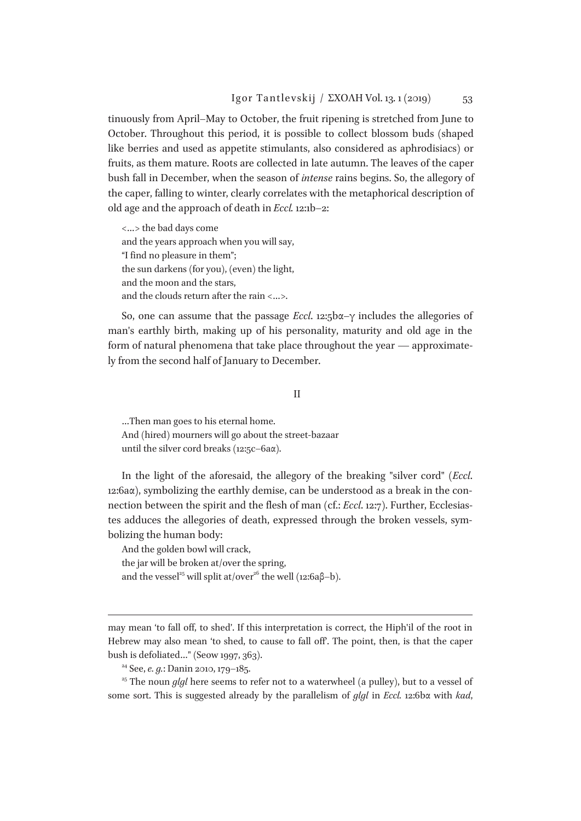tinuously from April–May to October, the fruit ripening is stretched from June to October. Throughout this period, it is possible to collect blossom buds (shaped like berries and used as appetite stimulants, also considered as aphrodisiacs) or fruits, as them mature. Roots are collected in late autumn. The leaves of the caper bush fall in December, when the season of *intense* rains begins. So, the allegory of the caper, falling to winter, clearly correlates with the metaphorical description of old age and the approach of death in *Eccl.* 12:1b–2:

<…> the bad days come and the years approach when you will say, "I find no pleasure in them"; the sun darkens (for you), (even) the light, and the moon and the stars, and the clouds return after the rain <…>.

So, one can assume that the passage *Eccl*. 12:5bα–γ includes the allegories of man's earthly birth, making up of his personality, maturity and old age in the form of natural phenomena that take place throughout the year — approximately from the second half of January to December.

II

…Then man goes to his eternal home. And (hired) mourners will go about the street-bazaar until the silver cord breaks (12:5с–6аα).

In the light of the aforesaid, the allegory of the breaking "silver cord" (*Eccl*. 12:6aα), symbolizing the earthly demise, can be understood as a break in the connection between the spirit and the flesh of man (cf.: *Eccl*. 12:7). Further, Ecclesiastes adduces the allegories of death, expressed through the broken vessels, symbolizing the human body:

And the golden bowl will crack, the jar will be broken at/over the spring, and the vessel<sup>25</sup> will split at/over<sup>26</sup> the well (12:6a $\beta$ –b).

may mean 'to fall off, to shed'. If this interpretation is correct, the Hiph'il of the root in Hebrew may also mean 'to shed, to cause to fall off'. The point, then, is that the caper bush is defoliated…" (Seow 1997, 363).

<sup>24</sup> See, *e. g.*: Danin 2010, 179–185.

 $\overline{a}$ 

<sup>25</sup> The noun *glgl* here seems to refer not to a waterwheel (a pulley), but to a vessel of some sort. This is suggested already by the parallelism of *glgl* in *Eccl.* 12:6bα with *kad*,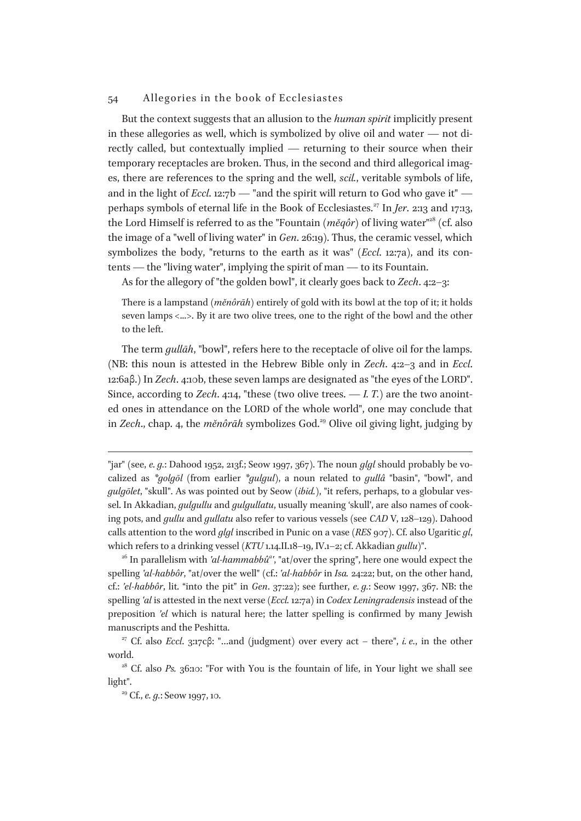But the context suggests that an allusion to the *human spirit* implicitly present in these allegories as well, which is symbolized by olive oil and water — not directly called, but contextually implied — returning to their source when their temporary receptacles are broken. Thus, in the second and third allegorical images, there are references to the spring and the well, *scil.*, veritable symbols of life, and in the light of *Eccl*. 12:7b — "and the spirit will return to God who gave it" perhaps symbols of eternal life in the Book of Ecclesiastes.<sup>27</sup> In *Jer*. 2:13 and 17:13, the Lord Himself is referred to as the "Fountain  $(m\breve{e}q\hat{o}r)$  of living water"<sup>28</sup> (cf. also the image of a "well of living water" in *Gen*. 26:19). Thus, the ceramic vessel, which symbolizes the body, "returns to the earth as it was" (*Eccl*. 12:7a), and its contents — the "living water", implying the spirit of man — to its Fountain.

As for the allegory of "the golden bowl", it clearly goes back to *Zech*. 4:2–3:

There is a lampstand (*mĕnôrāh*) entirely of gold with its bowl at the top of it; it holds seven lamps <...>. By it are two olive trees, one to the right of the bowl and the other to the left.

The term *gullāh*, "bowl", refers here to the receptacle of olive oil for the lamps. (NB: this noun is attested in the Hebrew Bible only in *Zech*. 4:2–3 and in *Eccl*. 12:6aβ.) In *Zech*. 4:10b, these seven lamps are designated as "the eyes of the LORD". Since, according to *Zech*. 4:14, "these (two olive trees.  $- I. T.$ ) are the two anointed ones in attendance on the LORD of the whole world", one may conclude that in *Zech*., chap. 4, the *měnôrāh* symbolizes God.<sup>29</sup> Olive oil giving light, judging by

<sup>&</sup>quot;jar" (see, *e. g.*: Dahood 1952, 213f.; Seow 1997, 367). The noun *glgl* should probably be vocalized as *\*golgōl* (from earlier *\*gulgul*), a noun related to *gullâ* "basin", "bowl", and *gulgōlet*, "skull". As was pointed out by Seow (*ibid.*), "it refers, perhaps, to a globular vessel. In Akkadian, *gulgullu* and *gulgullatu*, usually meaning 'skull', are also names of cooking pots, and *gullu* and *gullatu* also refer to various vessels (see *CAD* V, 128–129). Dahood calls attention to the word *glgl* inscribed in Punic on a vase (*RES* 907). Cf. also Ugaritic *gl*, which refers to a drinking vessel (*KTU* 1.14.II.18–19, IV.1–2; cf. Akkadian *gullu*)".

<sup>26</sup> In parallelism with *ʽal-hammabbû<sup>a</sup> ʽ*, "at/over the spring", here one would expect the spelling *ʽal-habbôr*, "at/over the well" (cf.: *ʽal-habbôr* in *Isa.* 24:22; but, on the other hand, cf.: *'el-habbôr*, lit. "into the pit" in *Gen*. 37:22); see further, *e. g.*: Seow 1997, 367. NB: the spelling *ʽal* is attested in the next verse (*Eccl.* 12:7a) in *Codex Leningradensis* instead of the preposition *'el* which is natural here; the latter spelling is confirmed by many Jewish manuscripts and the Peshitta.

<sup>27</sup> Cf. also *Eccl*. 3:17cβ: "…and (judgment) over every act – there", *i. e.*, in the other world.

<sup>&</sup>lt;sup>28</sup> Cf. also *Ps*. 36:10: "For with You is the fountain of life, in Your light we shall see light".

<sup>29</sup> Cf., *e. g.*: Seow 1997, 10.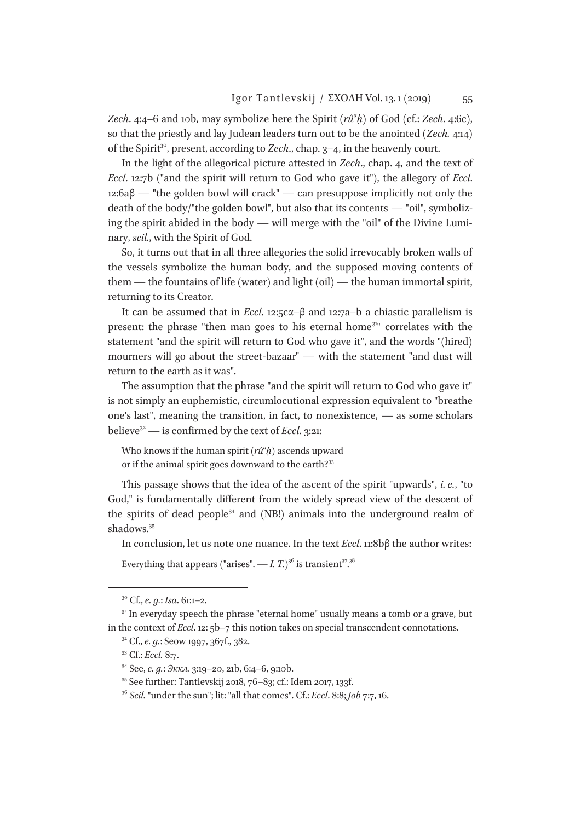*Zech*. 4:4–6 and 10b, may symbolize here the Spirit (*rû<sup>a</sup> ḥ*) of God (cf.: *Zech*. 4:6c), so that the priestly and lay Judean leaders turn out to be the anointed (*Zech.* 4:14) of the Spirit<sup>30</sup>, present, according to *Zech*., chap. 3–4, in the heavenly court.

In the light of the allegorical picture attested in *Zech*., chap. 4, and the text of *Eccl*. 12:7b ("and the spirit will return to God who gave it"), the allegory of *Eccl*. 12:6aβ — "the golden bowl will crack" — can presuppose implicitly not only the death of the body/"the golden bowl", but also that its contents — "oil", symbolizing the spirit abided in the body — will merge with the "oil" of the Divine Luminary, *scil.*, with the Spirit of God.

So, it turns out that in all three allegories the solid irrevocably broken walls of the vessels symbolize the human body, and the supposed moving contents of them — the fountains of life (water) and light (oil) — the human immortal spirit, returning to its Creator.

It can be assumed that in *Eccl*. 12:5cα–β and 12:7a–b a chiastic parallelism is present: the phrase "then man goes to his eternal home<sup>31</sup>" correlates with the statement "and the spirit will return to God who gave it", and the words "(hired) mourners will go about the street-bazaar" — with the statement "and dust will return to the earth as it was".

The assumption that the phrase "and the spirit will return to God who gave it" is not simply an euphemistic, circumlocutional expression equivalent to "breathe one's last", meaning the transition, in fact, to nonexistence, — as some scholars believe<sup>32</sup> — is confirmed by the text of *Eccl*. 3:21:

Who knows if the human spirit (*rû<sup>a</sup> ḥ*) ascends upward or if the animal spirit goes downward to the earth?<sup>33</sup>

This passage shows that the idea of the ascent of the spirit "upwards", *i. e.*, "to God," is fundamentally different from the widely spread view of the descent of the spirits of dead people<sup>34</sup> and (NB!) animals into the underground realm of shadows.<sup>35</sup>

In conclusion, let us note one nuance. In the text *Eccl*. 11:8bβ the author writes:

Everything that appears ("arises". — *I. T.*) $^{36}$  is transient $^{37}$ . $^{38}$ 

<sup>30</sup> Cf., *e. g.*: *Isa*. 61:1–2.

 $31$  In everyday speech the phrase "eternal home" usually means a tomb or a grave, but in the context of *Eccl*. 12: 5b–7 this notion takes on special transcendent connotations.

<sup>32</sup> Cf., *e. g.*: Seow 1997, 367f., 382.

<sup>33</sup> Cf.: *Eccl.* 8:7.

<sup>34</sup> See, *e. g.*: *Эккл.* 3:19–20, 21b, 6:4–6, 9:10b.

<sup>35</sup> See further: Tantlevskij 2018, 76–83; cf.: Idem 2017, 133f.

<sup>36</sup> *Scil.* "under the sun"; lit: "all that comes". Cf.: *Eccl*. 8:8; *Job* 7:7, 16.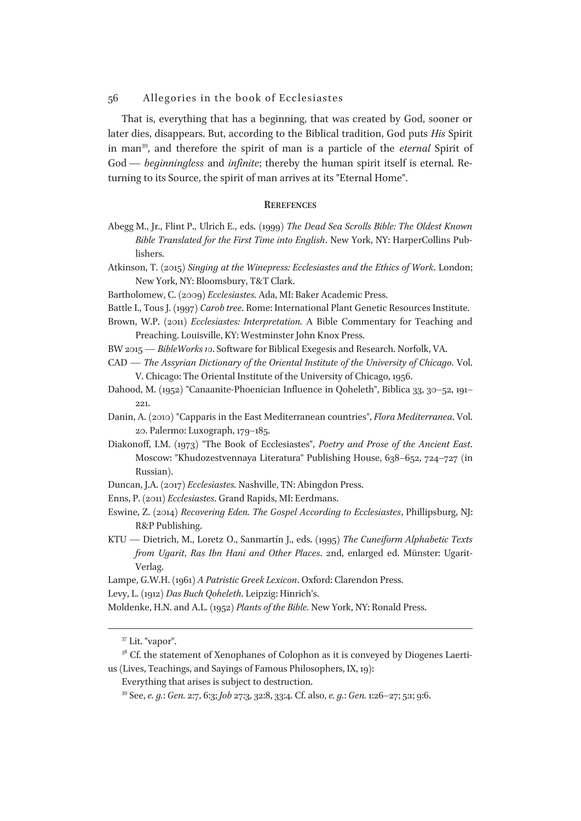That is, everything that has a beginning, that was created by God, sooner or later dies, disappears. But, according to the Biblical tradition, God puts *His* Spirit in man<sup>39</sup>, and therefore the spirit of man is a particle of the *eternal* Spirit of God — *beginningless* and *infinite*; thereby the human spirit itself is eternal. Returning to its Source, the spirit of man arrives at its "Eternal Home".

#### **REREFENCES**

- Abegg M., Jr., Flint P., Ulrich E., eds. (1999) *The Dead Sea Scrolls Bible: The Oldest Known Bible Translated for the First Time into English*. New York, NY: HarperCollins Publishers.
- Atkinson, T. (2015) *Singing at the Winepress: Ecclesiastes and the Ethics of Work*. London; New York, NY: Bloomsbury, T&T Clark.
- Bartholomew, C. (2009) *Ecclesiastes.* Ada, MI: Baker Academic Press.
- Battle I., Tous J. (1997) *Carob tree*. Rome: International Plant Genetic Resources Institute.
- Brown, W.P. (2011) *Ecclesiastes: Interpretation.* A Bible Commentary for Teaching and Preaching. Louisville, KY: Westminster John Knox Press.
- BW 2015 *BibleWorks 10*. Software for Biblical Exegesis and Research. Norfolk, VA.
- CAD *The Assyrian Dictionary of the Oriental Institute of the University of Chicago.* Vol. V. Chicago: The Oriental Institute of the University of Chicago, 1956.
- Dahood, M. (1952) "Canaanite-Phoenician Influence in Qoheleth", Biblica 33, 30–52, 191–  $221.$
- Danin, A. (2010) "Capparis in the East Mediterranean countries", *Flora Mediterranea*. Vol. 20. Palermo: Luxograph, 179–185.
- Diakonoff, I.M. (1973) "The Book of Ecclesiastes", *Poetry and Prose of the Ancient East*. Moscow: "Khudozestvennaya Literatura" Publishing House, 638–652, 724–727 (in Russian).
- Duncan, J.A. (2017) *Ecclesiastes.* Nashville, TN: Abingdon Press.
- Enns, P. (2011) *Ecclesiastes*. Grand Rapids, MI: Eerdmans.
- Eswine, Z. (2014) *Recovering Eden. The Gospel According to Ecclesiastes*, Phillipsburg, NJ: R&P Publishing.
- KTU Dietrich, M., Loretz O., Sanmartín J., eds. (1995) *The Cuneiform Alphabetic Texts from Ugarit*, *Ras Ibn Hani and Other Places*. 2nd, enlarged ed. Münster: Ugarit-Verlag.
- Lampe, G.W.H. (1961) *A Patristic Greek Lexicon*. Oxford: Clarendon Press.

Levy, L. (1912) *Das Buch Qoheleth*. Leipzig: Hinrich's.

Moldenke, H.N. and A.L. (1952) *Plants of the Bible.* New York, NY: Ronald Press.

<sup>37</sup> Lit. "vapor".

<sup>&</sup>lt;sup>38</sup> Cf. the statement of Xenophanes of Colophon as it is conveyed by Diogenes Laertius (Lives, Teachings, and Sayings of Famous Philosophers, IX, 19):

Everything that arises is subject to destruction.

<sup>39</sup> See, *e. g.*: *Gen.* 2:7, 6:3; *Job* 27:3, 32:8, 33:4. Cf. also, *e. g.*: *Gen.* 1:26–27; 5:1; 9:6.